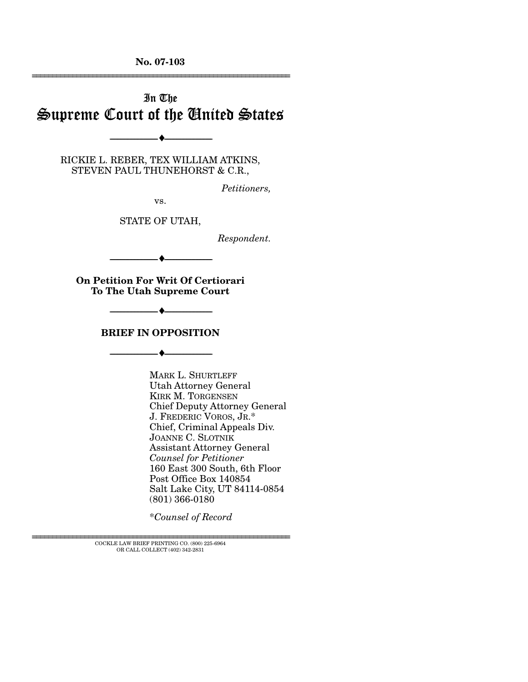# In The Supreme Court of the United States

RICKIE L. REBER, TEX WILLIAM ATKINS, STEVEN PAUL THUNEHORST & C.R.,

--------------------------------- ♦ ---------------------------------

*Petitioners,* 

vs.

STATE OF UTAH,

*Respondent.* 

**On Petition For Writ Of Certiorari To The Utah Supreme Court** 

--------------------------------- ♦ ---------------------------------

### **BRIEF IN OPPOSITION**

--------------------------------- ♦ ---------------------------------

--------------------------------- ♦ ---------------------------------

MARK L. SHURTLEFF Utah Attorney General KIRK M. TORGENSEN Chief Deputy Attorney General J. FREDERIC VOROS, JR.\* Chief, Criminal Appeals Div. JOANNE C. SLOTNIK Assistant Attorney General *Counsel for Petitioner*  160 East 300 South, 6th Floor Post Office Box 140854 Salt Lake City, UT 84114-0854 (801) 366-0180

\**Counsel of Record*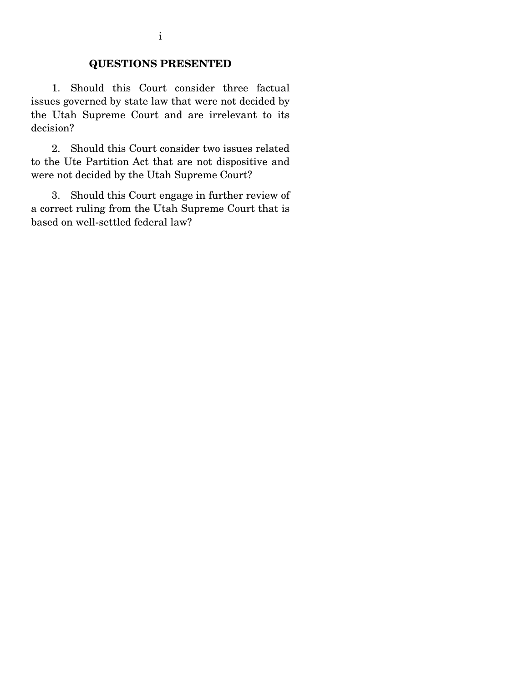### **QUESTIONS PRESENTED**

 1. Should this Court consider three factual issues governed by state law that were not decided by the Utah Supreme Court and are irrelevant to its decision?

 2. Should this Court consider two issues related to the Ute Partition Act that are not dispositive and were not decided by the Utah Supreme Court?

 3. Should this Court engage in further review of a correct ruling from the Utah Supreme Court that is based on well-settled federal law?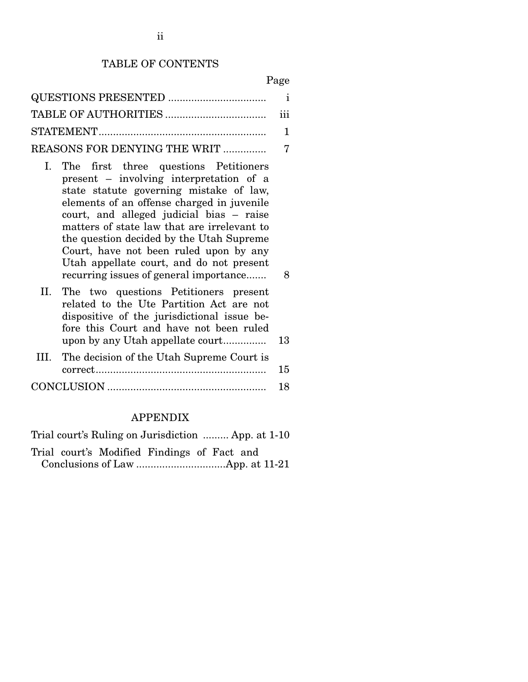### TABLE OF CONTENTS

- I. The first three questions Petitioners present – involving interpretation of a state statute governing mistake of law, elements of an offense charged in juvenile court, and alleged judicial bias – raise matters of state law that are irrelevant to the question decided by the Utah Supreme Court, have not been ruled upon by any Utah appellate court, and do not present recurring issues of general importance....... 8
- II. The two questions Petitioners present related to the Ute Partition Act are not dispositive of the jurisdictional issue before this Court and have not been ruled upon by any Utah appellate court............... 13

| III. The decision of the Utah Supreme Court is |     |
|------------------------------------------------|-----|
|                                                | 15  |
|                                                | -18 |

### APPENDIX

|  | Trial court's Ruling on Jurisdiction  App. at 1-10 |  |  |
|--|----------------------------------------------------|--|--|
|  | Trial court's Modified Findings of Fact and        |  |  |
|  |                                                    |  |  |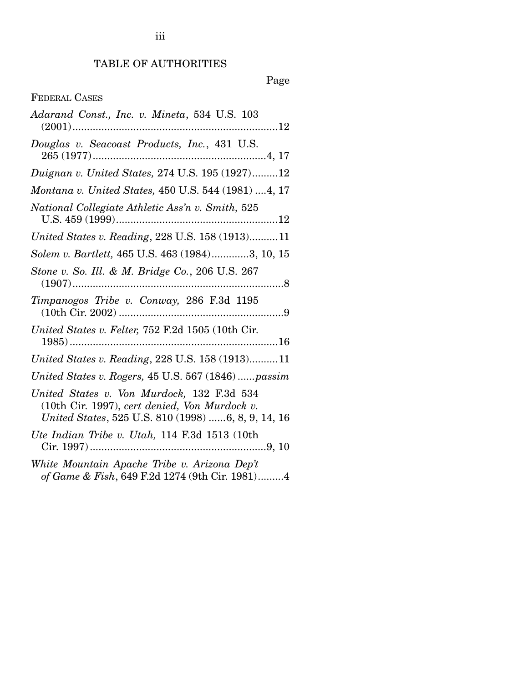# TABLE OF AUTHORITIES

| <b>FEDERAL CASES</b>                                                                                                                              |
|---------------------------------------------------------------------------------------------------------------------------------------------------|
| Adarand Const., Inc. v. Mineta, 534 U.S. 103                                                                                                      |
| Douglas v. Seacoast Products, Inc., 431 U.S.                                                                                                      |
| <i>Duignan v. United States, 274 U.S. 195 (1927)12</i>                                                                                            |
| Montana v. United States, 450 U.S. 544 (1981)  4, 17                                                                                              |
| National Collegiate Athletic Ass'n v. Smith, 525                                                                                                  |
| United States v. Reading, 228 U.S. 158 (1913)11                                                                                                   |
| Solem v. Bartlett, 465 U.S. 463 (1984)3, 10, 15                                                                                                   |
| Stone v. So. Ill. & M. Bridge Co., 206 U.S. 267                                                                                                   |
| Timpanogos Tribe v. Conway, 286 F.3d 1195                                                                                                         |
| United States v. Felter, 752 F.2d 1505 (10th Cir.                                                                                                 |
| United States v. Reading, 228 U.S. 158 (1913)11                                                                                                   |
| United States v. Rogers, 45 U.S. 567 (1846)passim                                                                                                 |
| United States v. Von Murdock, 132 F.3d 534<br>(10th Cir. 1997), cert denied, Von Murdock v.<br>United States, 525 U.S. 810 (1998) 6, 8, 9, 14, 16 |
| Ute Indian Tribe v. Utah, 114 F.3d 1513 (10th                                                                                                     |
| White Mountain Apache Tribe v. Arizona Dep't<br>of Game & Fish, 649 F.2d 1274 (9th Cir. 1981)4                                                    |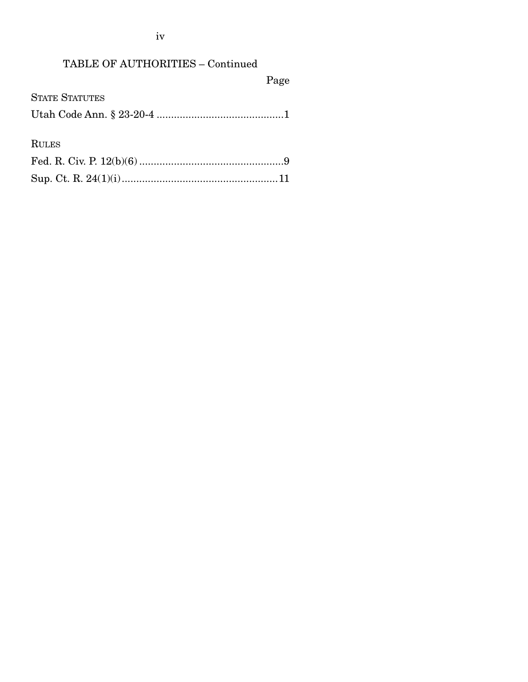| <b>TABLE OF AUTHORITIES - Continued</b> |      |
|-----------------------------------------|------|
|                                         | Page |
| <b>STATE STATUTES</b>                   |      |
|                                         |      |
|                                         |      |
| <b>RULES</b>                            |      |
|                                         |      |
|                                         |      |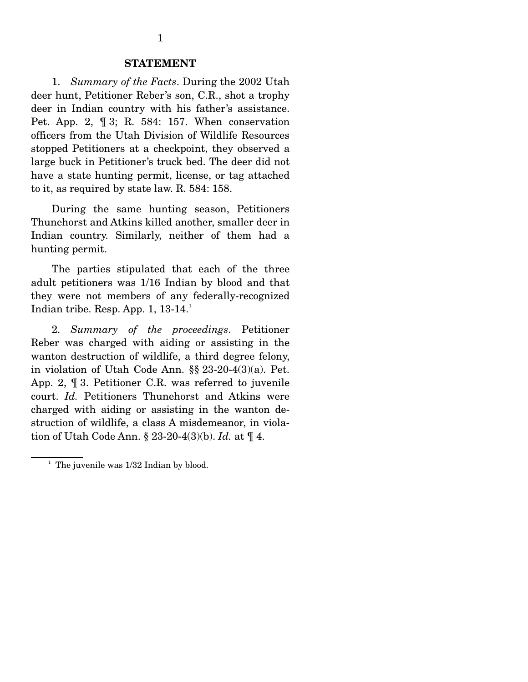### **STATEMENT**

 1. *Summary of the Facts*. During the 2002 Utah deer hunt, Petitioner Reber's son, C.R., shot a trophy deer in Indian country with his father's assistance. Pet. App. 2, ¶ 3; R. 584: 157. When conservation officers from the Utah Division of Wildlife Resources stopped Petitioners at a checkpoint, they observed a large buck in Petitioner's truck bed. The deer did not have a state hunting permit, license, or tag attached to it, as required by state law. R. 584: 158.

 During the same hunting season, Petitioners Thunehorst and Atkins killed another, smaller deer in Indian country. Similarly, neither of them had a hunting permit.

 The parties stipulated that each of the three adult petitioners was 1/16 Indian by blood and that they were not members of any federally-recognized Indian tribe. Resp. App. 1,  $13-14.^1$ 

 2. *Summary of the proceedings*. Petitioner Reber was charged with aiding or assisting in the wanton destruction of wildlife, a third degree felony, in violation of Utah Code Ann. §§ 23-20-4(3)(a). Pet. App. 2, ¶ 3. Petitioner C.R. was referred to juvenile court. *Id.* Petitioners Thunehorst and Atkins were charged with aiding or assisting in the wanton destruction of wildlife, a class A misdemeanor, in violation of Utah Code Ann. § 23-20-4(3)(b). *Id.* at ¶ 4.

<sup>&</sup>lt;sup>1</sup> The juvenile was 1/32 Indian by blood.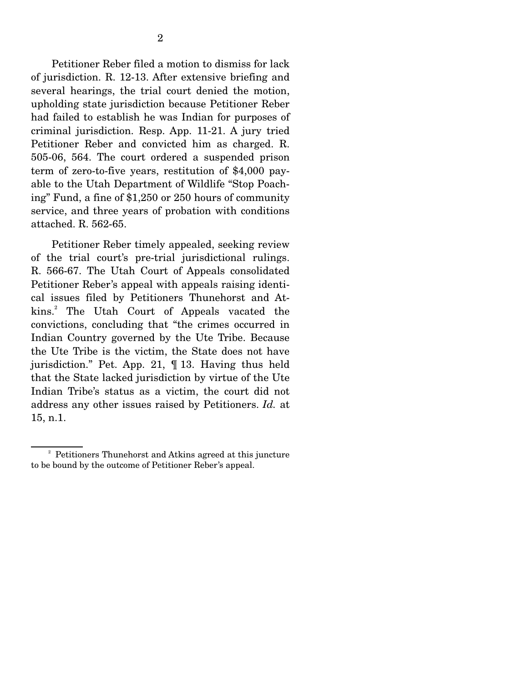Petitioner Reber filed a motion to dismiss for lack of jurisdiction. R. 12-13. After extensive briefing and several hearings, the trial court denied the motion, upholding state jurisdiction because Petitioner Reber had failed to establish he was Indian for purposes of criminal jurisdiction. Resp. App. 11-21. A jury tried Petitioner Reber and convicted him as charged. R. 505-06, 564. The court ordered a suspended prison term of zero-to-five years, restitution of \$4,000 payable to the Utah Department of Wildlife "Stop Poaching" Fund, a fine of \$1,250 or 250 hours of community service, and three years of probation with conditions attached. R. 562-65.

 Petitioner Reber timely appealed, seeking review of the trial court's pre-trial jurisdictional rulings. R. 566-67. The Utah Court of Appeals consolidated Petitioner Reber's appeal with appeals raising identical issues filed by Petitioners Thunehorst and Atkins.2 The Utah Court of Appeals vacated the convictions, concluding that "the crimes occurred in Indian Country governed by the Ute Tribe. Because the Ute Tribe is the victim, the State does not have jurisdiction." Pet. App. 21, ¶ 13. Having thus held that the State lacked jurisdiction by virtue of the Ute Indian Tribe's status as a victim, the court did not address any other issues raised by Petitioners. *Id.* at 15, n.1.

<sup>&</sup>lt;sup>2</sup> Petitioners Thunehorst and Atkins agreed at this juncture to be bound by the outcome of Petitioner Reber's appeal.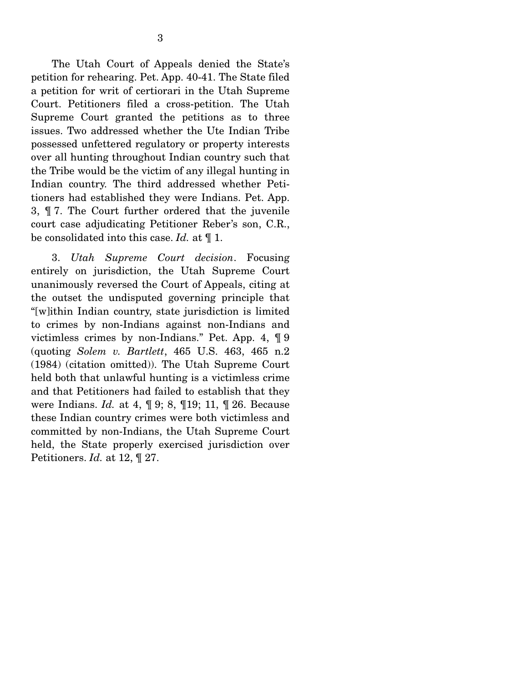3

 The Utah Court of Appeals denied the State's petition for rehearing. Pet. App. 40-41. The State filed a petition for writ of certiorari in the Utah Supreme Court. Petitioners filed a cross-petition. The Utah Supreme Court granted the petitions as to three issues. Two addressed whether the Ute Indian Tribe possessed unfettered regulatory or property interests over all hunting throughout Indian country such that the Tribe would be the victim of any illegal hunting in Indian country. The third addressed whether Petitioners had established they were Indians. Pet. App. 3, ¶ 7. The Court further ordered that the juvenile court case adjudicating Petitioner Reber's son, C.R., be consolidated into this case. *Id.* at ¶ 1.

 3. *Utah Supreme Court decision*. Focusing entirely on jurisdiction, the Utah Supreme Court unanimously reversed the Court of Appeals, citing at the outset the undisputed governing principle that "[w]ithin Indian country, state jurisdiction is limited to crimes by non-Indians against non-Indians and victimless crimes by non-Indians." Pet. App. 4, ¶ 9 (quoting *Solem v. Bartlett*, 465 U.S. 463, 465 n.2 (1984) (citation omitted)). The Utah Supreme Court held both that unlawful hunting is a victimless crime and that Petitioners had failed to establish that they were Indians. *Id.* at 4, ¶ 9; 8, ¶19; 11, ¶ 26. Because these Indian country crimes were both victimless and committed by non-Indians, the Utah Supreme Court held, the State properly exercised jurisdiction over Petitioners. *Id.* at 12, ¶ 27.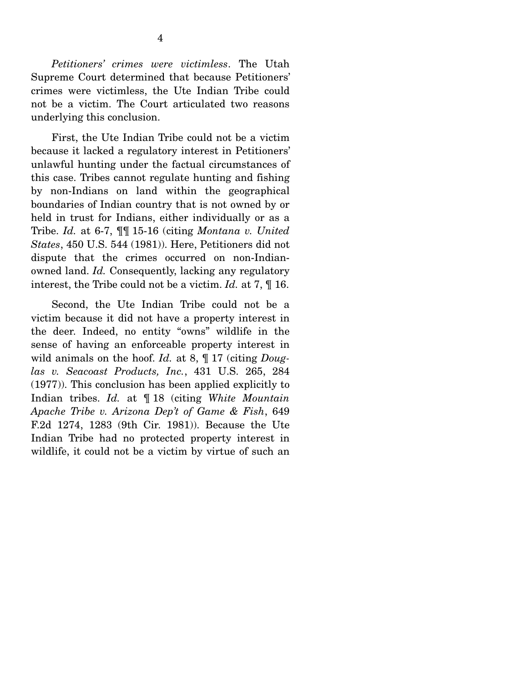*Petitioners' crimes were victimless*. The Utah Supreme Court determined that because Petitioners' crimes were victimless, the Ute Indian Tribe could not be a victim. The Court articulated two reasons underlying this conclusion.

 First, the Ute Indian Tribe could not be a victim because it lacked a regulatory interest in Petitioners' unlawful hunting under the factual circumstances of this case. Tribes cannot regulate hunting and fishing by non-Indians on land within the geographical boundaries of Indian country that is not owned by or held in trust for Indians, either individually or as a Tribe. *Id.* at 6-7, ¶¶ 15-16 (citing *Montana v. United States*, 450 U.S. 544 (1981)). Here, Petitioners did not dispute that the crimes occurred on non-Indianowned land. *Id.* Consequently, lacking any regulatory interest, the Tribe could not be a victim. *Id.* at 7, ¶ 16.

 Second, the Ute Indian Tribe could not be a victim because it did not have a property interest in the deer. Indeed, no entity "owns" wildlife in the sense of having an enforceable property interest in wild animals on the hoof. *Id.* at 8, ¶ 17 (citing *Douglas v. Seacoast Products, Inc.*, 431 U.S. 265, 284 (1977)). This conclusion has been applied explicitly to Indian tribes. *Id.* at ¶ 18 (citing *White Mountain Apache Tribe v. Arizona Dep't of Game & Fish*, 649 F.2d 1274, 1283 (9th Cir. 1981)). Because the Ute Indian Tribe had no protected property interest in wildlife, it could not be a victim by virtue of such an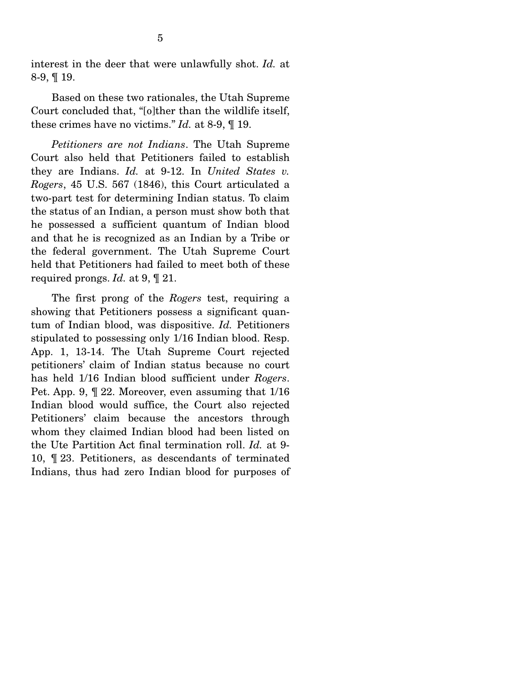interest in the deer that were unlawfully shot. *Id.* at 8-9, ¶ 19.

 Based on these two rationales, the Utah Supreme Court concluded that, "[o]ther than the wildlife itself, these crimes have no victims." *Id.* at 8-9, ¶ 19.

 *Petitioners are not Indians*. The Utah Supreme Court also held that Petitioners failed to establish they are Indians. *Id.* at 9-12. In *United States v. Rogers*, 45 U.S. 567 (1846), this Court articulated a two-part test for determining Indian status. To claim the status of an Indian, a person must show both that he possessed a sufficient quantum of Indian blood and that he is recognized as an Indian by a Tribe or the federal government. The Utah Supreme Court held that Petitioners had failed to meet both of these required prongs. *Id.* at 9, ¶ 21.

 The first prong of the *Rogers* test, requiring a showing that Petitioners possess a significant quantum of Indian blood, was dispositive. *Id.* Petitioners stipulated to possessing only 1/16 Indian blood. Resp. App. 1, 13-14. The Utah Supreme Court rejected petitioners' claim of Indian status because no court has held 1/16 Indian blood sufficient under *Rogers*. Pet. App. 9, ¶ 22. Moreover, even assuming that 1/16 Indian blood would suffice, the Court also rejected Petitioners' claim because the ancestors through whom they claimed Indian blood had been listed on the Ute Partition Act final termination roll. *Id.* at 9- 10, ¶ 23. Petitioners, as descendants of terminated Indians, thus had zero Indian blood for purposes of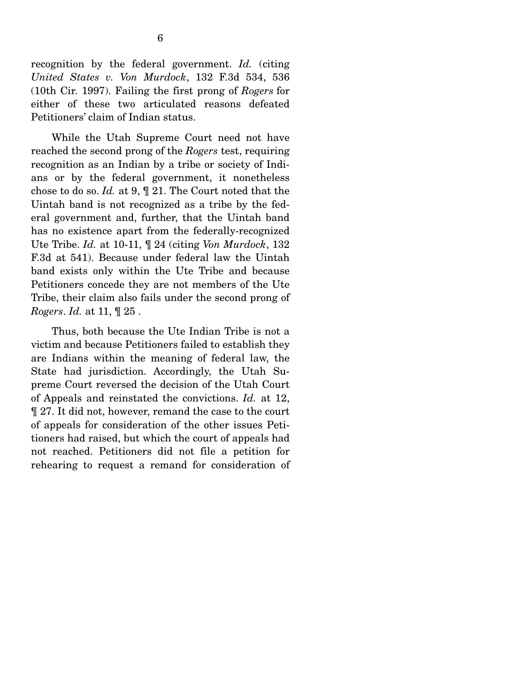recognition by the federal government. *Id.* (citing *United States v. Von Murdock*, 132 F.3d 534, 536 (10th Cir. 1997). Failing the first prong of *Rogers* for either of these two articulated reasons defeated Petitioners' claim of Indian status.

 While the Utah Supreme Court need not have reached the second prong of the *Rogers* test, requiring recognition as an Indian by a tribe or society of Indians or by the federal government, it nonetheless chose to do so. *Id.* at 9, ¶ 21. The Court noted that the Uintah band is not recognized as a tribe by the federal government and, further, that the Uintah band has no existence apart from the federally-recognized Ute Tribe. *Id.* at 10-11, ¶ 24 (citing *Von Murdock*, 132 F.3d at 541). Because under federal law the Uintah band exists only within the Ute Tribe and because Petitioners concede they are not members of the Ute Tribe, their claim also fails under the second prong of *Rogers*. *Id.* at 11, ¶ 25 .

 Thus, both because the Ute Indian Tribe is not a victim and because Petitioners failed to establish they are Indians within the meaning of federal law, the State had jurisdiction. Accordingly, the Utah Supreme Court reversed the decision of the Utah Court of Appeals and reinstated the convictions. *Id.* at 12, ¶ 27. It did not, however, remand the case to the court of appeals for consideration of the other issues Petitioners had raised, but which the court of appeals had not reached. Petitioners did not file a petition for rehearing to request a remand for consideration of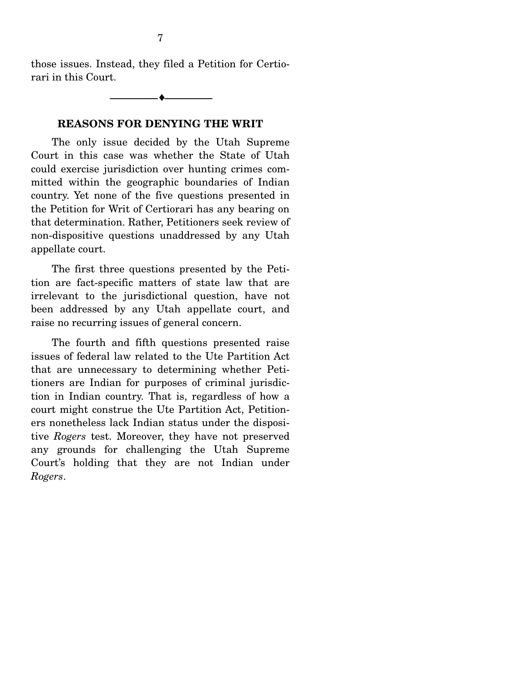those issues. Instead, they filed a Petition for Certiorari in this Court.

## **REASONS FOR DENYING THE WRIT**

--------------------------------- ♦ ---------------------------------

 The only issue decided by the Utah Supreme Court in this case was whether the State of Utah could exercise jurisdiction over hunting crimes committed within the geographic boundaries of Indian country. Yet none of the five questions presented in the Petition for Writ of Certiorari has any bearing on that determination. Rather, Petitioners seek review of non-dispositive questions unaddressed by any Utah appellate court.

 The first three questions presented by the Petition are fact-specific matters of state law that are irrelevant to the jurisdictional question, have not been addressed by any Utah appellate court, and raise no recurring issues of general concern.

 The fourth and fifth questions presented raise issues of federal law related to the Ute Partition Act that are unnecessary to determining whether Petitioners are Indian for purposes of criminal jurisdiction in Indian country. That is, regardless of how a court might construe the Ute Partition Act, Petitioners nonetheless lack Indian status under the dispositive *Rogers* test. Moreover, they have not preserved any grounds for challenging the Utah Supreme Court's holding that they are not Indian under *Rogers*.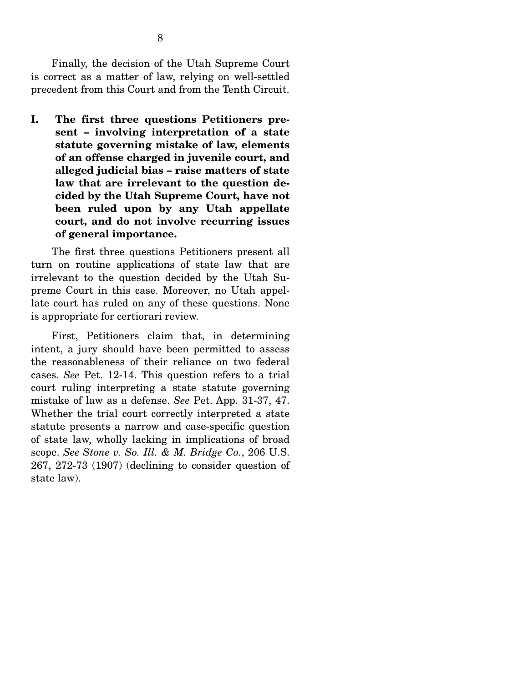Finally, the decision of the Utah Supreme Court is correct as a matter of law, relying on well-settled precedent from this Court and from the Tenth Circuit.

**I. The first three questions Petitioners present – involving interpretation of a state statute governing mistake of law, elements of an offense charged in juvenile court, and alleged judicial bias – raise matters of state law that are irrelevant to the question decided by the Utah Supreme Court, have not been ruled upon by any Utah appellate court, and do not involve recurring issues of general importance.** 

 The first three questions Petitioners present all turn on routine applications of state law that are irrelevant to the question decided by the Utah Supreme Court in this case. Moreover, no Utah appellate court has ruled on any of these questions. None is appropriate for certiorari review.

 First, Petitioners claim that, in determining intent, a jury should have been permitted to assess the reasonableness of their reliance on two federal cases. *See* Pet. 12-14. This question refers to a trial court ruling interpreting a state statute governing mistake of law as a defense. *See* Pet. App. 31-37, 47. Whether the trial court correctly interpreted a state statute presents a narrow and case-specific question of state law, wholly lacking in implications of broad scope. *See Stone v. So. Ill. & M. Bridge Co.*, 206 U.S. 267, 272-73 (1907) (declining to consider question of state law).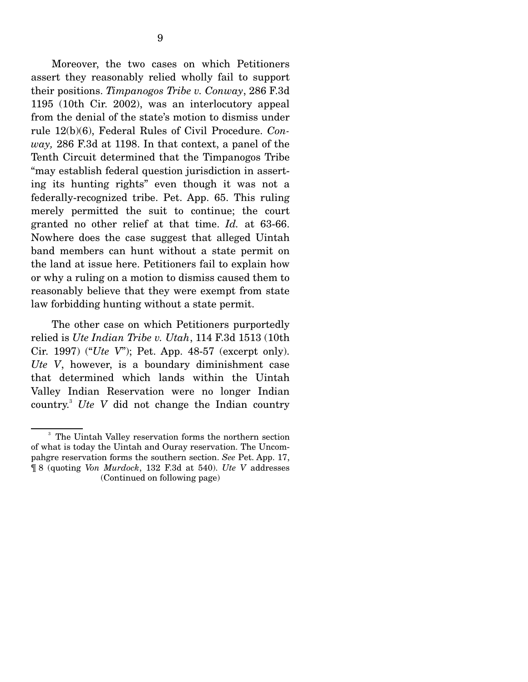Moreover, the two cases on which Petitioners assert they reasonably relied wholly fail to support their positions. *Timpanogos Tribe v. Conway*, 286 F.3d 1195 (10th Cir. 2002), was an interlocutory appeal from the denial of the state's motion to dismiss under rule 12(b)(6), Federal Rules of Civil Procedure. *Conway,* 286 F.3d at 1198. In that context, a panel of the Tenth Circuit determined that the Timpanogos Tribe "may establish federal question jurisdiction in asserting its hunting rights" even though it was not a federally-recognized tribe. Pet. App. 65. This ruling merely permitted the suit to continue; the court granted no other relief at that time. *Id.* at 63-66. Nowhere does the case suggest that alleged Uintah band members can hunt without a state permit on the land at issue here. Petitioners fail to explain how or why a ruling on a motion to dismiss caused them to reasonably believe that they were exempt from state law forbidding hunting without a state permit.

 The other case on which Petitioners purportedly relied is *Ute Indian Tribe v. Utah*, 114 F.3d 1513 (10th Cir. 1997) ("*Ute V*"); Pet. App. 48-57 (excerpt only). *Ute V*, however, is a boundary diminishment case that determined which lands within the Uintah Valley Indian Reservation were no longer Indian country.<sup>3</sup> *Ute V* did not change the Indian country

<sup>&</sup>lt;sup>3</sup> The Uintah Valley reservation forms the northern section of what is today the Uintah and Ouray reservation. The Uncompahgre reservation forms the southern section. *See* Pet. App. 17, ¶ 8 (quoting *Von Murdock*, 132 F.3d at 540). *Ute V* addresses (Continued on following page)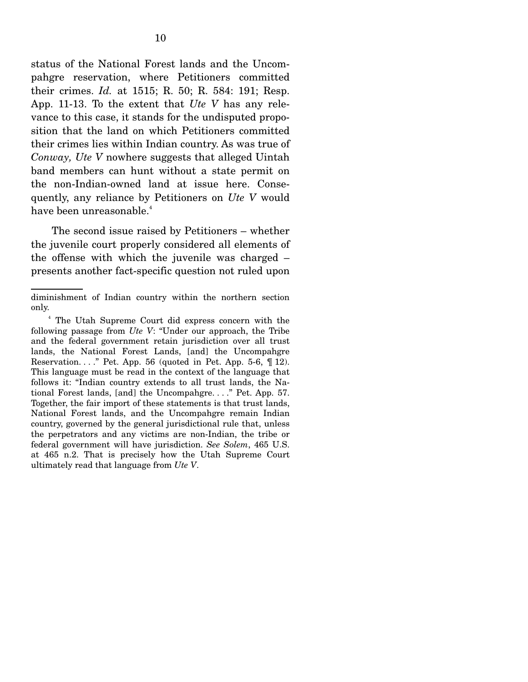status of the National Forest lands and the Uncompahgre reservation, where Petitioners committed their crimes. *Id.* at 1515; R. 50; R. 584: 191; Resp. App. 11-13. To the extent that *Ute V* has any relevance to this case, it stands for the undisputed proposition that the land on which Petitioners committed their crimes lies within Indian country. As was true of *Conway, Ute V* nowhere suggests that alleged Uintah band members can hunt without a state permit on the non-Indian-owned land at issue here. Consequently, any reliance by Petitioners on *Ute V* would have been unreasonable.<sup>4</sup>

 The second issue raised by Petitioners – whether the juvenile court properly considered all elements of the offense with which the juvenile was charged – presents another fact-specific question not ruled upon

diminishment of Indian country within the northern section only.

<sup>4</sup> The Utah Supreme Court did express concern with the following passage from *Ute V*: "Under our approach, the Tribe and the federal government retain jurisdiction over all trust lands, the National Forest Lands, [and] the Uncompahgre Reservation. . . . " Pet. App. 56 (quoted in Pet. App. 5-6,  $\P$  12). This language must be read in the context of the language that follows it: "Indian country extends to all trust lands, the National Forest lands, [and] the Uncompahgre. . . ." Pet. App. 57. Together, the fair import of these statements is that trust lands, National Forest lands, and the Uncompahgre remain Indian country, governed by the general jurisdictional rule that, unless the perpetrators and any victims are non-Indian, the tribe or federal government will have jurisdiction. *See Solem*, 465 U.S. at 465 n.2. That is precisely how the Utah Supreme Court ultimately read that language from *Ute V*.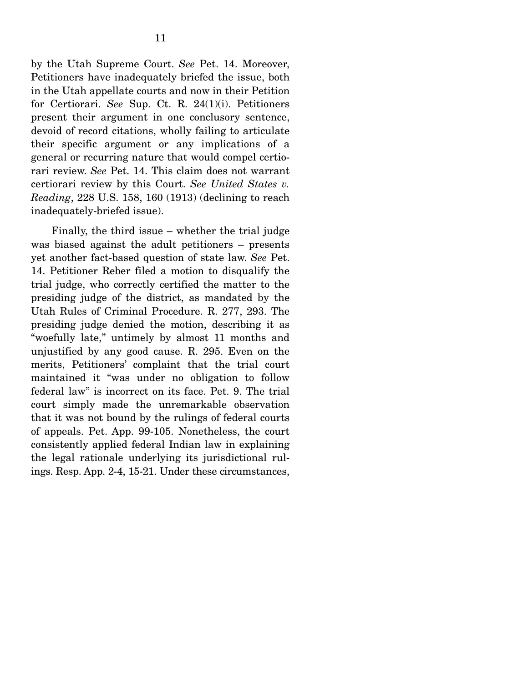by the Utah Supreme Court. *See* Pet. 14. Moreover, Petitioners have inadequately briefed the issue, both in the Utah appellate courts and now in their Petition for Certiorari. *See* Sup. Ct. R. 24(1)(i). Petitioners present their argument in one conclusory sentence, devoid of record citations, wholly failing to articulate their specific argument or any implications of a general or recurring nature that would compel certiorari review. *See* Pet. 14. This claim does not warrant certiorari review by this Court. *See United States v. Reading*, 228 U.S. 158, 160 (1913) (declining to reach inadequately-briefed issue).

 Finally, the third issue – whether the trial judge was biased against the adult petitioners – presents yet another fact-based question of state law. *See* Pet. 14. Petitioner Reber filed a motion to disqualify the trial judge, who correctly certified the matter to the presiding judge of the district, as mandated by the Utah Rules of Criminal Procedure. R. 277, 293. The presiding judge denied the motion, describing it as "woefully late," untimely by almost 11 months and unjustified by any good cause. R. 295. Even on the merits, Petitioners' complaint that the trial court maintained it "was under no obligation to follow federal law" is incorrect on its face. Pet. 9. The trial court simply made the unremarkable observation that it was not bound by the rulings of federal courts of appeals. Pet. App. 99-105. Nonetheless, the court consistently applied federal Indian law in explaining the legal rationale underlying its jurisdictional rulings. Resp. App. 2-4, 15-21. Under these circumstances,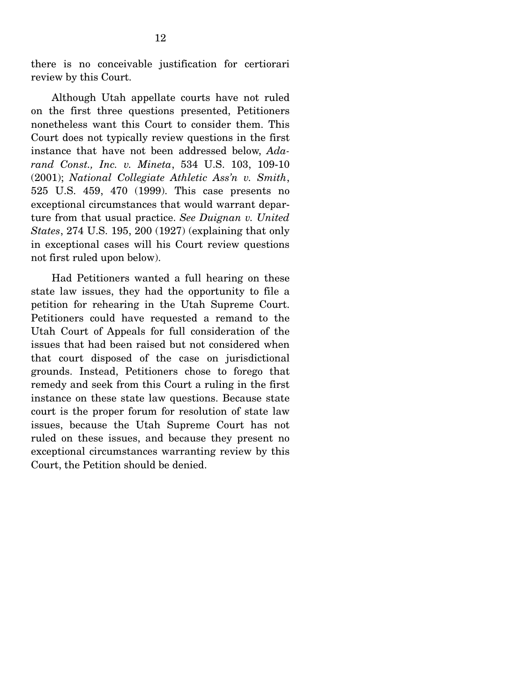there is no conceivable justification for certiorari review by this Court.

 Although Utah appellate courts have not ruled on the first three questions presented, Petitioners nonetheless want this Court to consider them. This Court does not typically review questions in the first instance that have not been addressed below, *Adarand Const., Inc. v. Mineta*, 534 U.S. 103, 109-10 (2001); *National Collegiate Athletic Ass'n v. Smith*, 525 U.S. 459, 470 (1999). This case presents no exceptional circumstances that would warrant departure from that usual practice. *See Duignan v. United States*, 274 U.S. 195, 200 (1927) (explaining that only in exceptional cases will his Court review questions not first ruled upon below).

 Had Petitioners wanted a full hearing on these state law issues, they had the opportunity to file a petition for rehearing in the Utah Supreme Court. Petitioners could have requested a remand to the Utah Court of Appeals for full consideration of the issues that had been raised but not considered when that court disposed of the case on jurisdictional grounds. Instead, Petitioners chose to forego that remedy and seek from this Court a ruling in the first instance on these state law questions. Because state court is the proper forum for resolution of state law issues, because the Utah Supreme Court has not ruled on these issues, and because they present no exceptional circumstances warranting review by this Court, the Petition should be denied.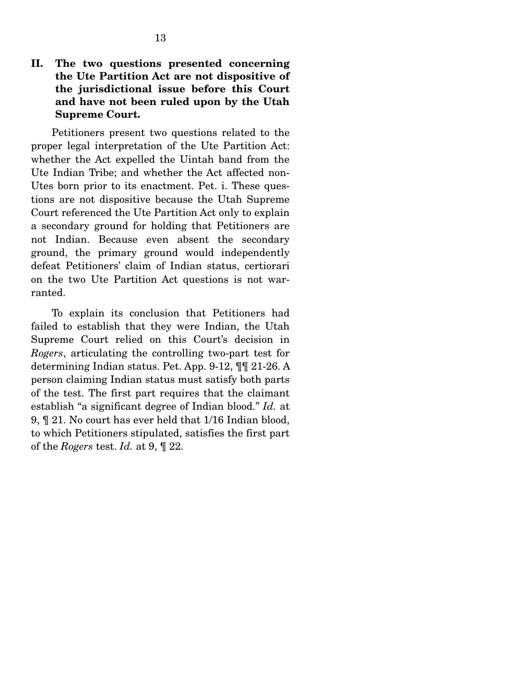**II. The two questions presented concerning the Ute Partition Act are not dispositive of the jurisdictional issue before this Court and have not been ruled upon by the Utah Supreme Court.** 

 Petitioners present two questions related to the proper legal interpretation of the Ute Partition Act: whether the Act expelled the Uintah band from the Ute Indian Tribe; and whether the Act affected non-Utes born prior to its enactment. Pet. i. These questions are not dispositive because the Utah Supreme Court referenced the Ute Partition Act only to explain a secondary ground for holding that Petitioners are not Indian. Because even absent the secondary ground, the primary ground would independently defeat Petitioners' claim of Indian status, certiorari on the two Ute Partition Act questions is not warranted.

 To explain its conclusion that Petitioners had failed to establish that they were Indian, the Utah Supreme Court relied on this Court's decision in *Rogers*, articulating the controlling two-part test for determining Indian status. Pet. App. 9-12, ¶¶ 21-26. A person claiming Indian status must satisfy both parts of the test. The first part requires that the claimant establish "a significant degree of Indian blood." *Id.* at 9, ¶ 21. No court has ever held that 1/16 Indian blood, to which Petitioners stipulated, satisfies the first part of the *Rogers* test. *Id.* at 9, ¶ 22.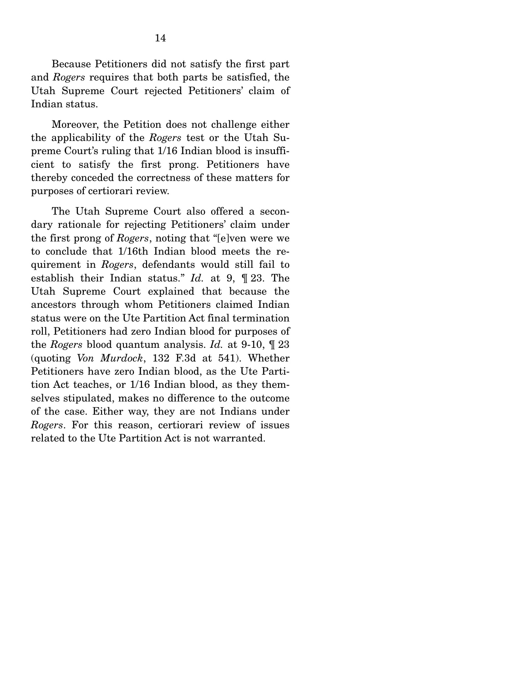Because Petitioners did not satisfy the first part and *Rogers* requires that both parts be satisfied, the Utah Supreme Court rejected Petitioners' claim of Indian status.

 Moreover, the Petition does not challenge either the applicability of the *Rogers* test or the Utah Supreme Court's ruling that 1/16 Indian blood is insufficient to satisfy the first prong. Petitioners have thereby conceded the correctness of these matters for purposes of certiorari review.

 The Utah Supreme Court also offered a secondary rationale for rejecting Petitioners' claim under the first prong of *Rogers*, noting that "[e]ven were we to conclude that 1/16th Indian blood meets the requirement in *Rogers*, defendants would still fail to establish their Indian status." *Id.* at 9, ¶ 23. The Utah Supreme Court explained that because the ancestors through whom Petitioners claimed Indian status were on the Ute Partition Act final termination roll, Petitioners had zero Indian blood for purposes of the *Rogers* blood quantum analysis. *Id.* at 9-10, ¶ 23 (quoting *Von Murdock*, 132 F.3d at 541). Whether Petitioners have zero Indian blood, as the Ute Partition Act teaches, or 1/16 Indian blood, as they themselves stipulated, makes no difference to the outcome of the case. Either way, they are not Indians under *Rogers*. For this reason, certiorari review of issues related to the Ute Partition Act is not warranted.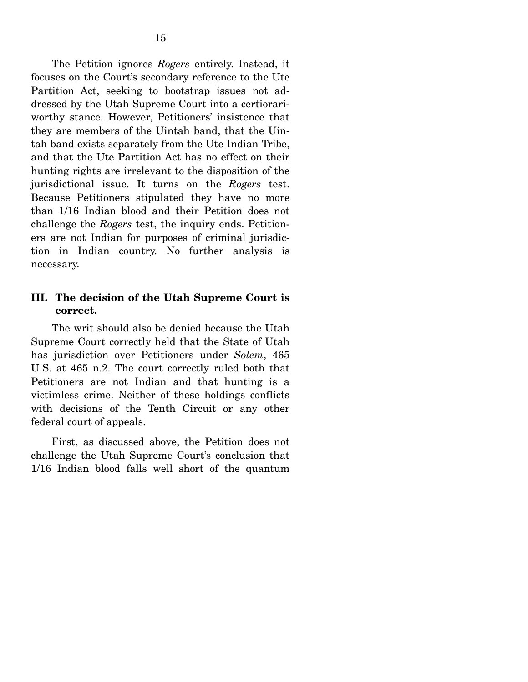The Petition ignores *Rogers* entirely. Instead, it focuses on the Court's secondary reference to the Ute Partition Act, seeking to bootstrap issues not addressed by the Utah Supreme Court into a certiorariworthy stance. However, Petitioners' insistence that they are members of the Uintah band, that the Uintah band exists separately from the Ute Indian Tribe, and that the Ute Partition Act has no effect on their hunting rights are irrelevant to the disposition of the jurisdictional issue. It turns on the *Rogers* test. Because Petitioners stipulated they have no more than 1/16 Indian blood and their Petition does not challenge the *Rogers* test, the inquiry ends. Petitioners are not Indian for purposes of criminal jurisdiction in Indian country. No further analysis is necessary.

## **III. The decision of the Utah Supreme Court is correct.**

 The writ should also be denied because the Utah Supreme Court correctly held that the State of Utah has jurisdiction over Petitioners under *Solem*, 465 U.S. at 465 n.2. The court correctly ruled both that Petitioners are not Indian and that hunting is a victimless crime. Neither of these holdings conflicts with decisions of the Tenth Circuit or any other federal court of appeals.

 First, as discussed above, the Petition does not challenge the Utah Supreme Court's conclusion that 1/16 Indian blood falls well short of the quantum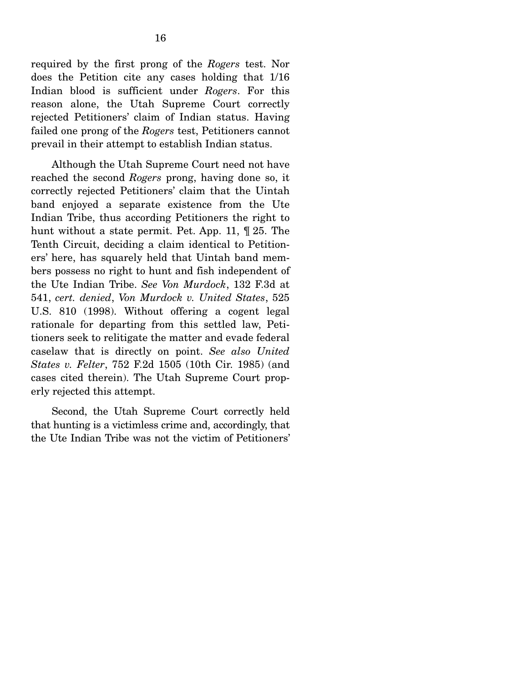required by the first prong of the *Rogers* test. Nor does the Petition cite any cases holding that 1/16 Indian blood is sufficient under *Rogers*. For this reason alone, the Utah Supreme Court correctly rejected Petitioners' claim of Indian status. Having failed one prong of the *Rogers* test, Petitioners cannot prevail in their attempt to establish Indian status.

 Although the Utah Supreme Court need not have reached the second *Rogers* prong, having done so, it correctly rejected Petitioners' claim that the Uintah band enjoyed a separate existence from the Ute Indian Tribe, thus according Petitioners the right to hunt without a state permit. Pet. App. 11, ¶ 25. The Tenth Circuit, deciding a claim identical to Petitioners' here, has squarely held that Uintah band members possess no right to hunt and fish independent of the Ute Indian Tribe. *See Von Murdock*, 132 F.3d at 541, *cert. denied*, *Von Murdock v. United States*, 525 U.S. 810 (1998). Without offering a cogent legal rationale for departing from this settled law, Petitioners seek to relitigate the matter and evade federal caselaw that is directly on point. *See also United States v. Felter*, 752 F.2d 1505 (10th Cir. 1985) (and cases cited therein). The Utah Supreme Court properly rejected this attempt.

 Second, the Utah Supreme Court correctly held that hunting is a victimless crime and, accordingly, that the Ute Indian Tribe was not the victim of Petitioners'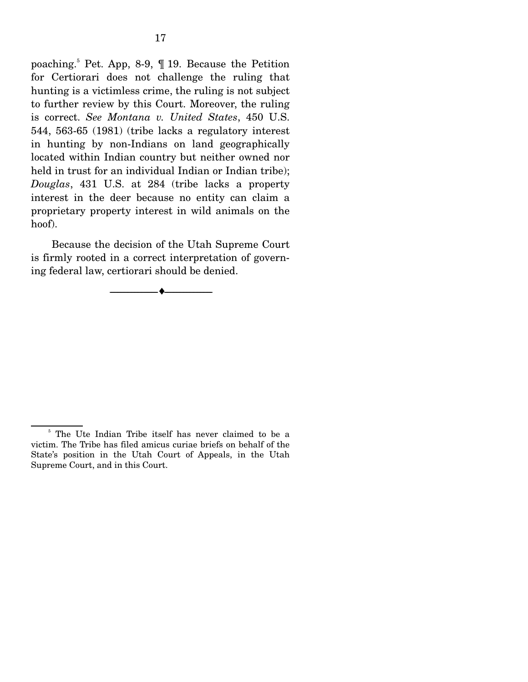poaching.<sup>5</sup> Pet. App, 8-9, ¶ 19. Because the Petition for Certiorari does not challenge the ruling that hunting is a victimless crime, the ruling is not subject to further review by this Court. Moreover, the ruling is correct. *See Montana v. United States*, 450 U.S. 544, 563-65 (1981) (tribe lacks a regulatory interest in hunting by non-Indians on land geographically located within Indian country but neither owned nor held in trust for an individual Indian or Indian tribe); *Douglas*, 431 U.S. at 284 (tribe lacks a property interest in the deer because no entity can claim a proprietary property interest in wild animals on the hoof).

 Because the decision of the Utah Supreme Court is firmly rooted in a correct interpretation of governing federal law, certiorari should be denied.

--------------------------------- ♦ ---------------------------------

<sup>&</sup>lt;sup>5</sup> The Ute Indian Tribe itself has never claimed to be a victim. The Tribe has filed amicus curiae briefs on behalf of the State's position in the Utah Court of Appeals, in the Utah Supreme Court, and in this Court.